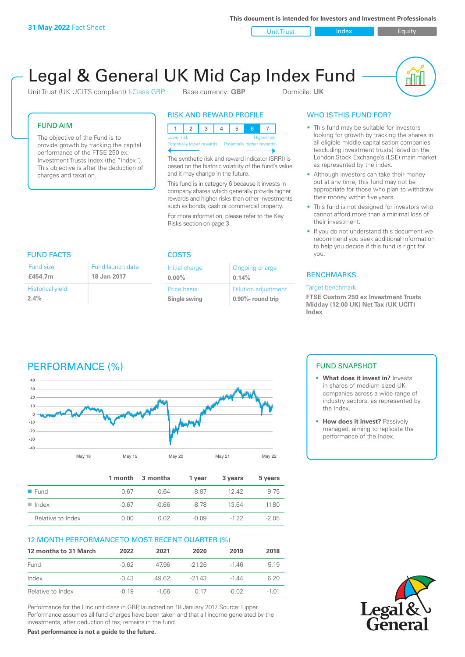**This document is intended for Investors and Investment Professionals**

Unit Trust Index I Equity

# Legal & General UK Mid Cap Index Fund

Unit Trust (UK UCITS compliant) I-Class GBP Base currency: **GBP** Domicile: UK



### FUND AIM

The objective of the Fund is to provide growth by tracking the capital performance of the FTSE 250 ex. Investment Trusts Index (the "Index"). This objective is after the deduction of charges and taxation.

> Fund launch date **18 Jan 2017**

## RISK AND REWARD PROFILE

|                                                      | <b>Higher risk</b><br>Lower risk |  |  |  |  |  |  |  |
|------------------------------------------------------|----------------------------------|--|--|--|--|--|--|--|
| Potentially lower rewards Potentially higher rewards |                                  |  |  |  |  |  |  |  |
|                                                      |                                  |  |  |  |  |  |  |  |

The synthetic risk and reward indicator (SRRI) is based on the historic volatility of the fund's value and it may change in the future.

This fund is in category 6 because it invests in company shares which generally provide higher rewards and higher risks than other investments such as bonds, cash or commercial property.

For more information, please refer to the Key Risks section on page 3.

# WHO IS THIS FUND FOR?

- This fund may be suitable for investors looking for growth by tracking the shares in all eligible middle capitalisation companies (excluding investment trusts) listed on the London Stock Exchange's (LSE) main market as represented by the index.
- Although investors can take their money out at any time, this fund may not be appropriate for those who plan to withdraw their money within five years.
- This fund is not designed for investors who cannot afford more than a minimal loss of their investment.
- If you do not understand this document we recommend you seek additional information to help you decide if this fund is right for you.

### **BENCHMARKS**

#### Target benchmark

**FTSE Custom 250 ex Investment Trusts Midday (12:00 UK) Net Tax (UK UCIT) Index**

### Fund size

| £454.7m                 | 18 <sub>1</sub> |
|-------------------------|-----------------|
| <b>Historical yield</b> |                 |
| 2.4%                    |                 |

## FUND FACTS COSTS

| Initial charge | Ongoing charge             |
|----------------|----------------------------|
| $0.00\%$       | 0.14%                      |
| Price basis    | <b>Dilution adjustment</b> |
| Single swing   | 0.90%- round trip          |

# PERFORMANCE (%)



|                      |         | 1 month 3 months | 1 vear  | 3 years | 5 years |
|----------------------|---------|------------------|---------|---------|---------|
| $\blacksquare$ Fund  | -0.67   | -0.64            | -8.87   | 12.42   | 9.75    |
| $\blacksquare$ Index | $-0.67$ | $-0.66$          | -8.78   | 13.64   | 11.80   |
| Relative to Index    | 0.00    | 0.O2             | $-0.09$ | $-122$  | $-2.05$ |

### 12 MONTH PERFORMANCE TO MOST RECENT QUARTER (%)

| 12 months to 31 March | 2022    | 2021   | 2020    | 2019    | 2018    |
|-----------------------|---------|--------|---------|---------|---------|
| Fund                  | $-0.62$ | 4796   | -2126   | -146    | 5 1 9   |
| Index                 | $-0.43$ | 49.62  | $-2143$ | $-1.44$ | 6.20    |
| Relative to Index     | $-0.19$ | $-166$ | O 17    | $-0.02$ | $-1.01$ |

Performance for the I Inc unit class in GBP, launched on 18 January 2017. Source: Lipper. Performance assumes all fund charges have been taken and that all income generated by the investments, after deduction of tax, remains in the fund.

**Past performance is not a guide to the future.**

### FUND SNAPSHOT

- **• What does it invest in?** Invests in shares of medium-sized UK companies across a wide range of industry sectors, as represented by the Index.
- **• How does it invest?** Passively managed, aiming to replicate the performance of the Index.

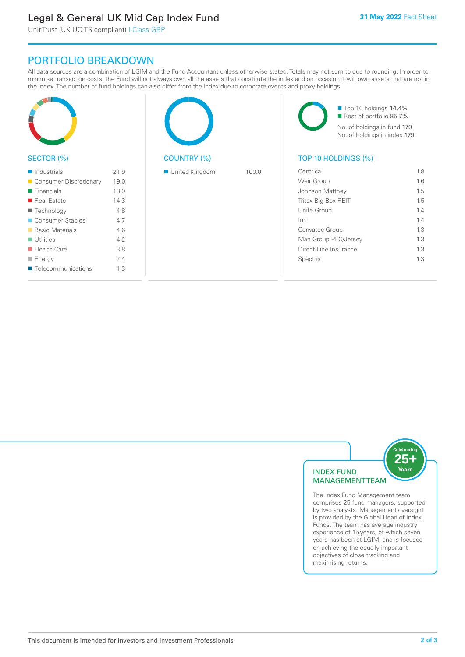# Legal & General UK Mid Cap Index Fund

Unit Trust (UK UCITS compliant) I-Class GBP

# PORTFOLIO BREAKDOWN

All data sources are a combination of LGIM and the Fund Accountant unless otherwise stated. Totals may not sum to due to rounding. In order to minimise transaction costs, the Fund will not always own all the assets that constitute the index and on occasion it will own assets that are not in the index. The number of fund holdings can also differ from the index due to corporate events and proxy holdings.

| SECTOR (%)                 |      | <b>COUNTRY (%)</b> |       |                       | Top 10 holdings 14.4%<br>Rest of portfolio 85.7%<br>No. of holdings in fund 179<br>No. of holdings in index 179<br>TOP 10 HOLDINGS (%) |     |
|----------------------------|------|--------------------|-------|-----------------------|----------------------------------------------------------------------------------------------------------------------------------------|-----|
| $\blacksquare$ Industrials | 21.9 | United Kingdom     | 100.0 | Centrica              |                                                                                                                                        | 1.8 |
| Consumer Discretionary     | 19.0 |                    |       | Weir Group            |                                                                                                                                        | 1.6 |
| $\blacksquare$ Financials  | 18.9 |                    |       | Johnson Matthey       |                                                                                                                                        | 1.5 |
| Real Estate                | 14.3 |                    |       | Tritax Big Box REIT   |                                                                                                                                        | 1.5 |
| 4.8<br>■ Technology        |      |                    |       | Unite Group           |                                                                                                                                        | 1.4 |
| Consumer Staples           | 4.7  |                    |       | Imi                   |                                                                                                                                        | 1.4 |
| <b>Basic Materials</b>     | 4.6  |                    |       | Convatec Group        |                                                                                                                                        | 1.3 |
| $\blacksquare$ Utilities   | 4.2  |                    |       | Man Group PLC/Jersey  |                                                                                                                                        | 1.3 |
| $\blacksquare$ Health Care | 3.8  |                    |       | Direct Line Insurance |                                                                                                                                        | 1.3 |
| $\blacksquare$ Energy      | 2.4  |                    |       | Spectris              |                                                                                                                                        | 1.3 |
| Telecommunications         | 1.3  |                    |       |                       |                                                                                                                                        |     |



The Index Fund Management team comprises 25 fund managers, supported by two analysts. Management oversight is provided by the Global Head of Index Funds. The team has average industry experience of 15 years, of which seven years has been at LGIM, and is focused on achieving the equally important objectives of close tracking and maximising returns.